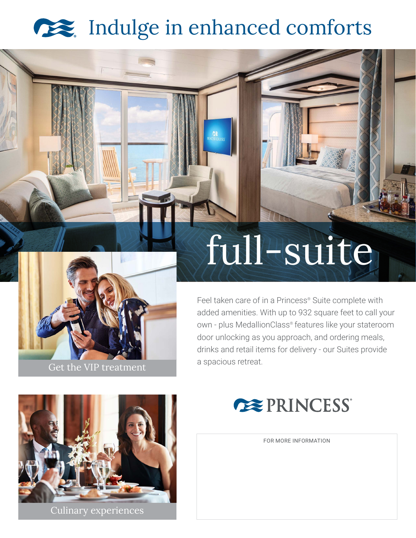## Indulge in enhanced comforts



# full-suite

Feel taken care of in a Princess® Suite complete with added amenities. With up to 932 square feet to call your own - plus MedallionClass® features like your stateroom door unlocking as you approach, and ordering meals, drinks and retail items for delivery - our Suites provide



Culinary experiences



FOR MORE INFORMATION